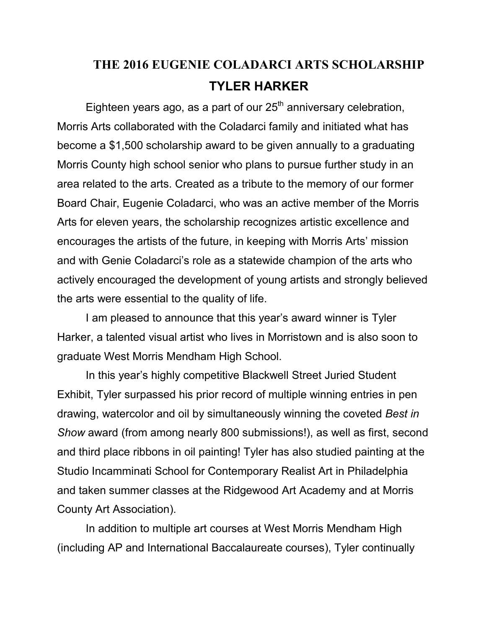## **THE 2016 EUGENIE COLADARCI ARTS SCHOLARSHIP TYLER HARKER**

Eighteen years ago, as a part of our  $25<sup>th</sup>$  anniversary celebration, Morris Arts collaborated with the Coladarci family and initiated what has become a \$1,500 scholarship award to be given annually to a graduating Morris County high school senior who plans to pursue further study in an area related to the arts. Created as a tribute to the memory of our former Board Chair, Eugenie Coladarci, who was an active member of the Morris Arts for eleven years, the scholarship recognizes artistic excellence and encourages the artists of the future, in keeping with Morris Arts' mission and with Genie Coladarci's role as a statewide champion of the arts who actively encouraged the development of young artists and strongly believed the arts were essential to the quality of life.

 I am pleased to announce that this year's award winner is Tyler Harker, a talented visual artist who lives in Morristown and is also soon to graduate West Morris Mendham High School.

 In this year's highly competitive Blackwell Street Juried Student Exhibit, Tyler surpassed his prior record of multiple winning entries in pen drawing, watercolor and oil by simultaneously winning the coveted *Best in Show* award (from among nearly 800 submissions!), as well as first, second and third place ribbons in oil painting! Tyler has also studied painting at the Studio Incamminati School for Contemporary Realist Art in Philadelphia and taken summer classes at the Ridgewood Art Academy and at Morris County Art Association).

 In addition to multiple art courses at West Morris Mendham High (including AP and International Baccalaureate courses), Tyler continually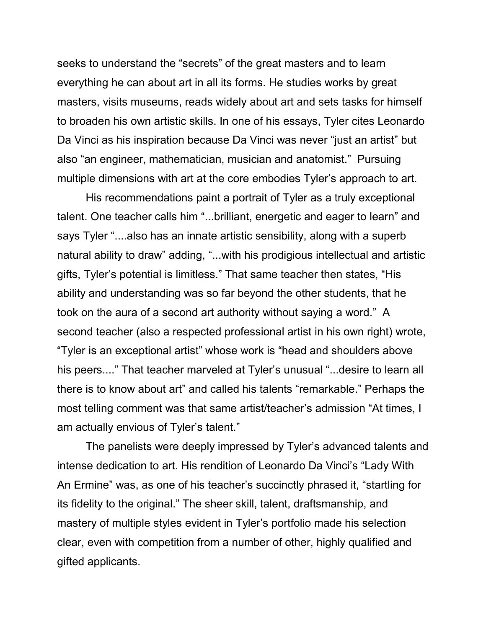seeks to understand the "secrets" of the great masters and to learn everything he can about art in all its forms. He studies works by great masters, visits museums, reads widely about art and sets tasks for himself to broaden his own artistic skills. In one of his essays, Tyler cites Leonardo Da Vinci as his inspiration because Da Vinci was never "just an artist" but also "an engineer, mathematician, musician and anatomist." Pursuing multiple dimensions with art at the core embodies Tyler's approach to art.

 His recommendations paint a portrait of Tyler as a truly exceptional talent. One teacher calls him "...brilliant, energetic and eager to learn" and says Tyler "....also has an innate artistic sensibility, along with a superb natural ability to draw" adding, "...with his prodigious intellectual and artistic gifts, Tyler's potential is limitless." That same teacher then states, "His ability and understanding was so far beyond the other students, that he took on the aura of a second art authority without saying a word." A second teacher (also a respected professional artist in his own right) wrote, "Tyler is an exceptional artist" whose work is "head and shoulders above his peers...." That teacher marveled at Tyler's unusual "...desire to learn all there is to know about art" and called his talents "remarkable." Perhaps the most telling comment was that same artist/teacher's admission "At times, I am actually envious of Tyler's talent."

 The panelists were deeply impressed by Tyler's advanced talents and intense dedication to art. His rendition of Leonardo Da Vinci's "Lady With An Ermine" was, as one of his teacher's succinctly phrased it, "startling for its fidelity to the original." The sheer skill, talent, draftsmanship, and mastery of multiple styles evident in Tyler's portfolio made his selection clear, even with competition from a number of other, highly qualified and gifted applicants.